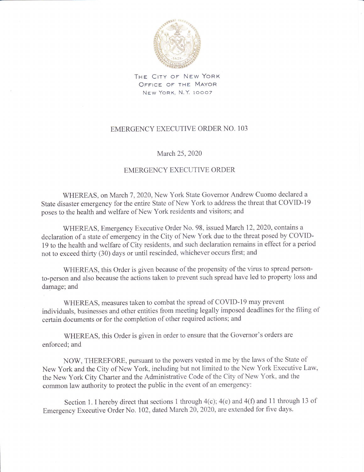

THE CITY OF NEW YORK OFFICE OF THE MAYOR New York, N.Y. 10007

## EMERGENCY EXECUTIVE ORDER NO. 103

## March 25, 2020

## EMERGENCY EXECUTIVE ORDER

WHEREAS, on March 7, 2020, New York State Governor Andrew Cuomo declared a State disaster emergency for the entire State of New York to address the threat that COVID-19 poses to the health and welfare of New York residents and visitors; and

WHEREAS, Emergency Executive Order No. 98, issued March 12, 2020, contains a declaration of a state of emergency in the City of New York due to the threat posed by COVID-<sup>19</sup>to the health and welfare of City residents, and such declaration remains in effect for a period not to exceed thirty (30) days or until rescinded, whichever occurs first; and

WHEREAS, this Order is given because of the propensity of the virus to spread personto-person and also because the actions taken to prevent such spread have led to property loss and damage; and

WHEREAS, measures taken to combat the spread of COVID-l9 may prevent individuals, businesses and other entities from meeting legally imposed deadlines for the filing of certain documents or for the completion of other required actions; and

WHEREAS, this Order is given in order to ensure that the Governor's orders are enforced; and

NOW, THEREFORE, pursuant to the powers vested in me by the laws of the State of New York and the City of New York, including but not limited to the New York Executive Law, the New York City Charter and the Administrative Code of the City of New York, and the common law authority to protect the public in the event of an emergency:

Section 1. I hereby direct that sections 1 through  $4(c)$ ;  $4(e)$  and  $4(f)$  and 11 through 13 of Emergency Executive Order No. 102, dated March 20, 2020, are extended for five days.